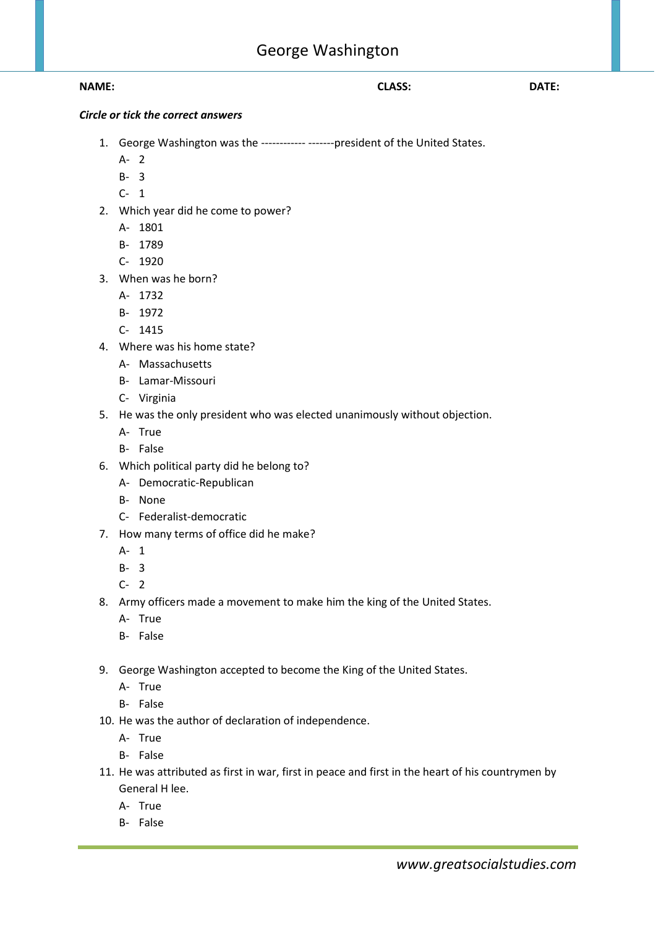## **NAME: CLASS: DATE:**

## *Circle or tick the correct answers*

- 1. George Washington was the ------------ -------president of the United States.
	- A- 2
	- B- 3
	- C- 1
- 2. Which year did he come to power?
	- A- 1801
	- B- 1789
	- C- 1920
- 3. When was he born?
	- A- 1732
	- B- 1972
	- C- 1415
- 4. Where was his home state?
	- A- Massachusetts
	- B- Lamar-Missouri
	- C- Virginia
- 5. He was the only president who was elected unanimously without objection.
	- A- True
	- B- False
- 6. Which political party did he belong to?
	- A- Democratic-Republican
	- B- None
	- C- Federalist-democratic
- 7. How many terms of office did he make?
	- A- 1
	- B- 3
	- $C-2$
- 8. Army officers made a movement to make him the king of the United States.
	- A- True
	- B- False
- 9. George Washington accepted to become the King of the United States.
	- A- True
	- B- False
- 10. He was the author of declaration of independence.
	- A- True
	- B- False
- 11. He was attributed as first in war, first in peace and first in the heart of his countrymen by General H lee.
	- A- True
	- B- False